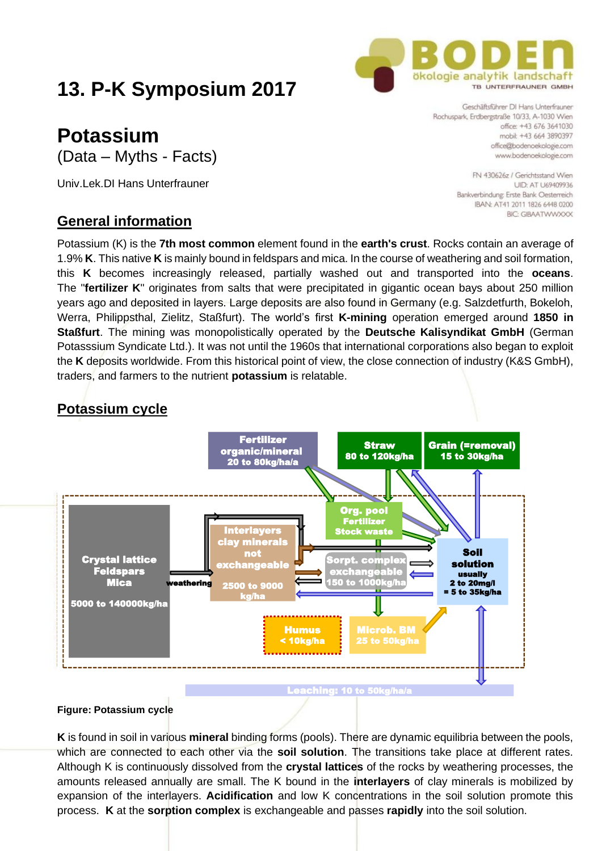# **13. P-K Symposium 2017**

## **Potassium** (Data – Myths - Facts)

Univ.Lek.DI Hans Unterfrauner

## **General information**

Potassium (K) is the **7th most common** element found in the **earth's crust**. Rocks contain an average of 1.9% **K**. This native **K** is mainly bound in feldspars and mica. In the course of weathering and soil formation, this **K** becomes increasingly released, partially washed out and transported into the **oceans**. The "**fertilizer K**" originates from salts that were precipitated in gigantic ocean bays about 250 million years ago and deposited in layers. Large deposits are also found in Germany (e.g. Salzdetfurth, Bokeloh, Werra, Philippsthal, Zielitz, Staßfurt). The world's first **K-mining** operation emerged around **1850 in Staßfurt**. The mining was monopolistically operated by the **Deutsche Kalisyndikat GmbH** (German Potasssium Syndicate Ltd.). It was not until the 1960s that international corporations also began to exploit the **K** deposits worldwide. From this historical point of view, the close connection of industry (K&S GmbH), traders, and farmers to the nutrient **potassium** is relatable.

## **Potassium cycle**



#### **Figure: Potassium cycle**

**K** is found in soil in various **mineral** binding forms (pools). There are dynamic equilibria between the pools, which are connected to each other via the **soil solution**. The transitions take place at different rates. Although K is continuously dissolved from the **crystal lattices** of the rocks by weathering processes, the amounts released annually are small. The K bound in the **interlayers** of clay minerals is mobilized by expansion of the interlayers. **Acidification** and low K concentrations in the soil solution promote this process. **K** at the **sorption complex** is exchangeable and passes **rapidly** into the soil solution.

TR INTEREDALINER GMBH Geschäftsführer DI Hans Unterfrauner Rochuspark, Erdbergstraße 10/33, A-1030 Wien office: +43,676,3641030 mobil: +43 664 3890397 office@bodenoekologie.com

www.bodenoekologie.com FN 430626z / Gerichtsstand Wien **UID: AT U69409936** Bankverbindung: Erste Bank Oesterreich IBAN: AT41 2011 1826 6448 0200

**BIC: GIRAATWWXXX** 

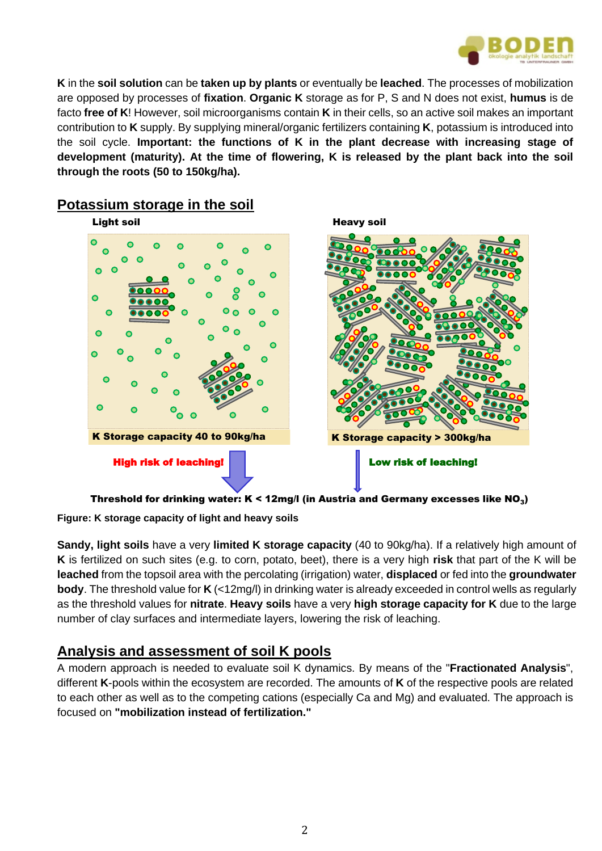

**K** in the **soil solution** can be **taken up by plants** or eventually be **leached**. The processes of mobilization are opposed by processes of **fixation**. **Organic K** storage as for P, S and N does not exist, **humus** is de facto **free of K**! However, soil microorganisms contain **K** in their cells, so an active soil makes an important contribution to **K** supply. By supplying mineral/organic fertilizers containing **K**, potassium is introduced into the soil cycle. **Important: the functions of K in the plant decrease with increasing stage of development (maturity). At the time of flowering, K is released by the plant back into the soil through the roots (50 to 150kg/ha).**



## **Potassium storage in the soil**

**Figure: K storage capacity of light and heavy soils**

**Sandy, light soils** have a very **limited K storage capacity** (40 to 90kg/ha). If a relatively high amount of **K** is fertilized on such sites (e.g. to corn, potato, beet), there is a very high **risk** that part of the K will be **leached** from the topsoil area with the percolating (irrigation) water, **displaced** or fed into the **groundwater body**. The threshold value for **K** (<12mg/l) in drinking water is already exceeded in control wells as regularly as the threshold values for **nitrate**. **Heavy soils** have a very **high storage capacity for K** due to the large number of clay surfaces and intermediate layers, lowering the risk of leaching.

## **Analysis and assessment of soil K pools**

A modern approach is needed to evaluate soil K dynamics. By means of the "**Fractionated Analysis**", different **K**-pools within the ecosystem are recorded. The amounts of **K** of the respective pools are related to each other as well as to the competing cations (especially Ca and Mg) and evaluated. The approach is focused on **"mobilization instead of fertilization."**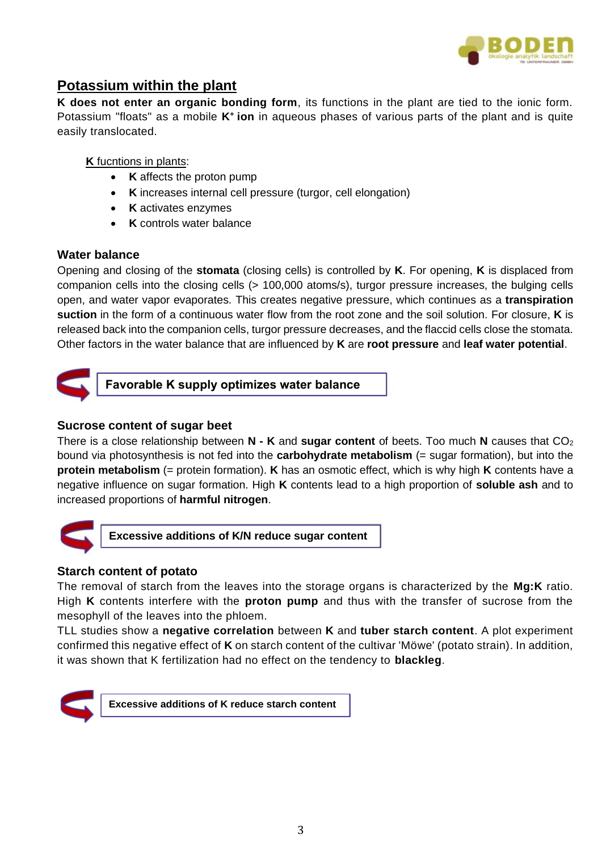

## **Potassium within the plant**

**K does not enter an organic bonding form**, its functions in the plant are tied to the ionic form. Potassium "floats" as a mobile **K<sup>+</sup>ion** in aqueous phases of various parts of the plant and is quite easily translocated.

#### **K** fucntions in plants:

- **K** affects the proton pump
- **K** increases internal cell pressure (turgor, cell elongation)
- **K** activates enzymes
- **K** controls water balance

#### **Water balance**

Opening and closing of the **stomata** (closing cells) is controlled by **K**. For opening, **K** is displaced from companion cells into the closing cells (> 100,000 atoms/s), turgor pressure increases, the bulging cells open, and water vapor evaporates. This creates negative pressure, which continues as a **transpiration suction** in the form of a continuous water flow from the root zone and the soil solution. For closure, **K** is released back into the companion cells, turgor pressure decreases, and the flaccid cells close the stomata. Other factors in the water balance that are influenced by **K** are **root pressure** and **leaf water potential**.



**Favorable K supply optimizes water balance**

#### **Sucrose content of sugar beet**

There is a close relationship between **N - K** and **sugar content** of beets. Too much **N** causes that CO<sub>2</sub> bound via photosynthesis is not fed into the **carbohydrate metabolism** (= sugar formation), but into the **protein metabolism** (= protein formation). **K** has an osmotic effect, which is why high **K** contents have a negative influence on sugar formation. High **K** contents lead to a high proportion of **soluble ash** and to increased proportions of **harmful nitrogen**.



**Excessive additions of K/N reduce sugar content**

#### **Starch content of potato**

The removal of starch from the leaves into the storage organs is characterized by the **Mg:K** ratio. High **K** contents interfere with the **proton pump** and thus with the transfer of sucrose from the mesophyll of the leaves into the phloem.

TLL studies show a **negative correlation** between **K** and **tuber starch content**. A plot experiment confirmed this negative effect of **K** on starch content of the cultivar 'Möwe' (potato strain). In addition, it was shown that K fertilization had no effect on the tendency to **blackleg**.



**Excessive additions of K reduce starch content**